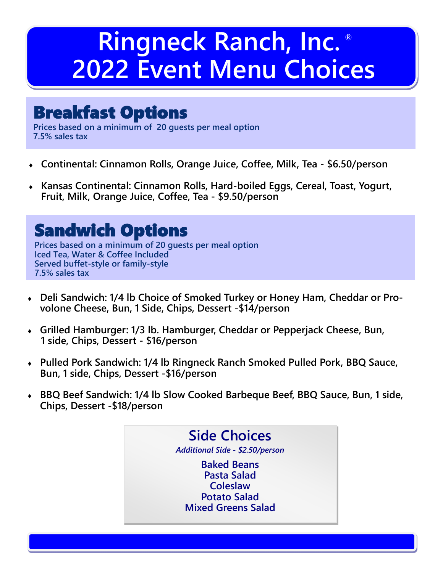## **Ringneck Ranch, Inc. ® 2022 Event Menu Choices**

## Breakfast Options

**Prices based on a minimum of 20 guests per meal option 7.5% sales tax**

- **Continental: Cinnamon Rolls, Orange Juice, Coffee, Milk, Tea - \$6.50/person**
- **Kansas Continental: Cinnamon Rolls, Hard-boiled Eggs, Cereal, Toast, Yogurt, Fruit, Milk, Orange Juice, Coffee, Tea - \$9.50/person**

## Sandwich Options

**Prices based on a minimum of 20 guests per meal option Iced Tea, Water & Coffee Included Served buffet-style or family-style 7.5% sales tax**

- **Deli Sandwich: 1/4 lb Choice of Smoked Turkey or Honey Ham, Cheddar or Provolone Cheese, Bun, 1 Side, Chips, Dessert -\$14/person**
- **Grilled Hamburger: 1/3 lb. Hamburger, Cheddar or Pepperjack Cheese, Bun, 1 side, Chips, Dessert - \$16/person**
- **Pulled Pork Sandwich: 1/4 lb Ringneck Ranch Smoked Pulled Pork, BBQ Sauce, Bun, 1 side, Chips, Dessert -\$16/person**
- **BBQ Beef Sandwich: 1/4 lb Slow Cooked Barbeque Beef, BBQ Sauce, Bun, 1 side, Chips, Dessert -\$18/person**